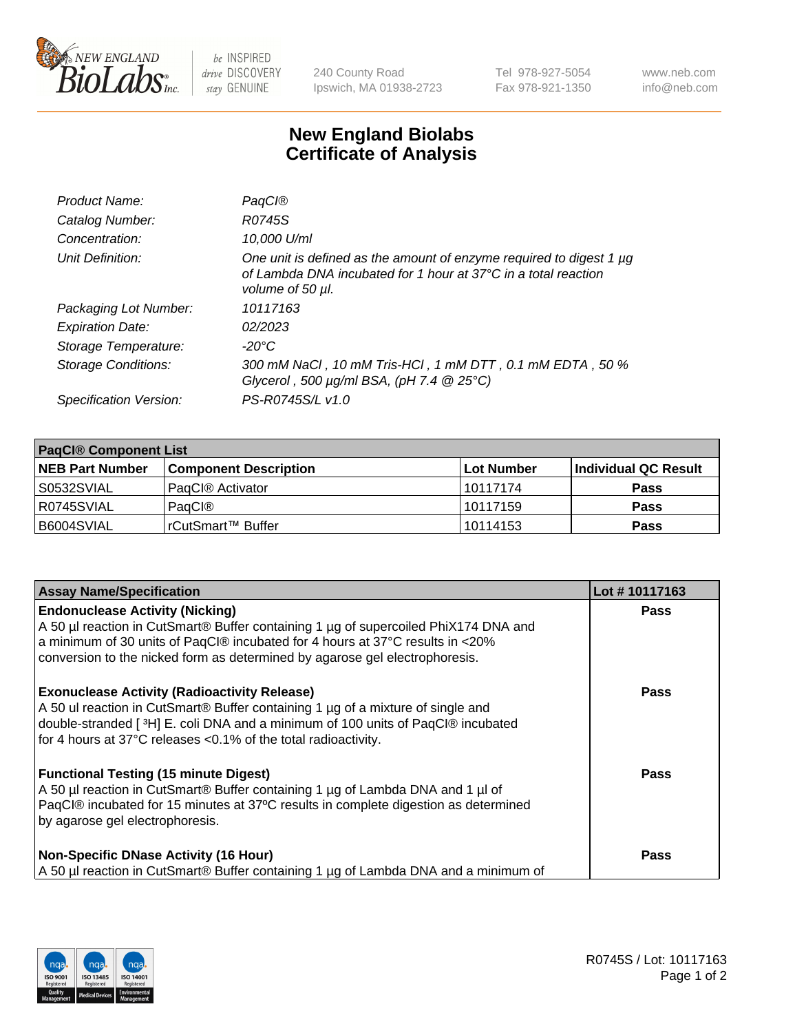

 $be$  INSPIRED drive DISCOVERY stay GENUINE

240 County Road Ipswich, MA 01938-2723 Tel 978-927-5054 Fax 978-921-1350 www.neb.com info@neb.com

## **New England Biolabs Certificate of Analysis**

| Product Name:              | PaqCl@                                                                                                                                                    |
|----------------------------|-----------------------------------------------------------------------------------------------------------------------------------------------------------|
| Catalog Number:            | R0745S                                                                                                                                                    |
| Concentration:             | 10,000 U/ml                                                                                                                                               |
| Unit Definition:           | One unit is defined as the amount of enzyme required to digest 1 µg<br>of Lambda DNA incubated for 1 hour at 37°C in a total reaction<br>volume of 50 µl. |
| Packaging Lot Number:      | 10117163                                                                                                                                                  |
| <b>Expiration Date:</b>    | 02/2023                                                                                                                                                   |
| Storage Temperature:       | $-20^{\circ}$ C                                                                                                                                           |
| <b>Storage Conditions:</b> | 300 mM NaCl, 10 mM Tris-HCl, 1 mM DTT, 0.1 mM EDTA, 50 %<br>Glycerol, 500 $\mu$ g/ml BSA, (pH 7.4 $@$ 25°C)                                               |
| Specification Version:     | PS-R0745S/L v1.0                                                                                                                                          |

| <b>PaqCI® Component List</b> |                              |             |                      |  |  |
|------------------------------|------------------------------|-------------|----------------------|--|--|
| <b>NEB Part Number</b>       | <b>Component Description</b> | ∣Lot Number | Individual QC Result |  |  |
| S0532SVIAL                   | PagCl® Activator             | 10117174    | <b>Pass</b>          |  |  |
| R0745SVIAL                   | PagCl®                       | 10117159    | <b>Pass</b>          |  |  |
| B6004SVIAL                   | l rCutSmart™ Buffer_         | 10114153    | <b>Pass</b>          |  |  |

| <b>Assay Name/Specification</b>                                                                                                                                                                                                                                                               | Lot #10117163 |
|-----------------------------------------------------------------------------------------------------------------------------------------------------------------------------------------------------------------------------------------------------------------------------------------------|---------------|
| <b>Endonuclease Activity (Nicking)</b><br>A 50 µl reaction in CutSmart® Buffer containing 1 µg of supercoiled PhiX174 DNA and<br>a minimum of 30 units of PaqCl® incubated for 4 hours at 37°C results in <20%<br>conversion to the nicked form as determined by agarose gel electrophoresis. | <b>Pass</b>   |
| <b>Exonuclease Activity (Radioactivity Release)</b><br>A 50 ul reaction in CutSmart® Buffer containing 1 µg of a mixture of single and<br>double-stranded [3H] E. coli DNA and a minimum of 100 units of PaqCl® incubated<br>for 4 hours at 37°C releases <0.1% of the total radioactivity.   | <b>Pass</b>   |
| <b>Functional Testing (15 minute Digest)</b><br>A 50 µl reaction in CutSmart® Buffer containing 1 µg of Lambda DNA and 1 µl of<br>PaqCl® incubated for 15 minutes at 37°C results in complete digestion as determined<br>by agarose gel electrophoresis.                                      | <b>Pass</b>   |
| <b>Non-Specific DNase Activity (16 Hour)</b><br>A 50 µl reaction in CutSmart® Buffer containing 1 µg of Lambda DNA and a minimum of                                                                                                                                                           | Pass          |